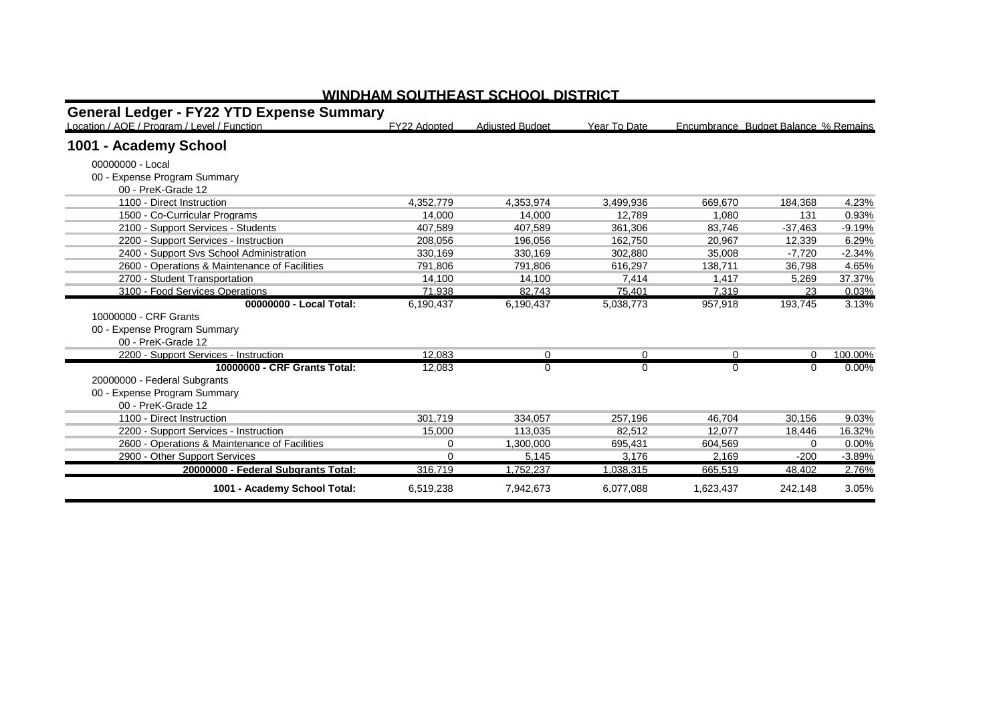| <b>General Ledger - FY22 YTD Expense Summary</b><br>Location / AOE / Program / Level / Function | FY22 Adopted | <b>Adiusted Budget</b> | Year To Date |              | Encumbrance Budget Balance % Remains |          |
|-------------------------------------------------------------------------------------------------|--------------|------------------------|--------------|--------------|--------------------------------------|----------|
| 1001 - Academy School                                                                           |              |                        |              |              |                                      |          |
|                                                                                                 |              |                        |              |              |                                      |          |
| 00000000 - Local                                                                                |              |                        |              |              |                                      |          |
| 00 - Expense Program Summary                                                                    |              |                        |              |              |                                      |          |
| 00 - PreK-Grade 12                                                                              |              |                        |              |              |                                      |          |
| 1100 - Direct Instruction                                                                       | 4.352.779    | 4.353.974              | 3.499.936    | 669.670      | 184.368                              | 4.23%    |
| 1500 - Co-Curricular Programs                                                                   | 14,000       | 14.000                 | 12.789       | 1,080        | 131                                  | 0.93%    |
| 2100 - Support Services - Students                                                              | 407.589      | 407.589                | 361.306      | 83.746       | $-37.463$                            | $-9.19%$ |
| 2200 - Support Services - Instruction                                                           | 208,056      | 196.056                | 162.750      | 20.967       | 12.339                               | 6.29%    |
| 2400 - Support Svs School Administration                                                        | 330,169      | 330,169                | 302.880      | 35,008       | $-7.720$                             | $-2.34%$ |
| 2600 - Operations & Maintenance of Facilities                                                   | 791,806      | 791,806                | 616,297      | 138,711      | 36,798                               | 4.65%    |
| 2700 - Student Transportation                                                                   | 14.100       | 14.100                 | 7.414        | 1.417        | 5.269                                | 37.37%   |
| 3100 - Food Services Operations                                                                 | 71,938       | 82,743                 | 75,401       | 7,319        | 23                                   | 0.03%    |
| 00000000 - Local Total:                                                                         | 6,190,437    | 6,190,437              | 5,038,773    | 957,918      | 193,745                              | 3.13%    |
| 10000000 - CRF Grants                                                                           |              |                        |              |              |                                      |          |
| 00 - Expense Program Summary                                                                    |              |                        |              |              |                                      |          |
| 00 - PreK-Grade 12                                                                              |              |                        |              |              |                                      |          |
| 2200 - Support Services - Instruction                                                           | 12.083       | 0                      | 0            | 0            | $\Omega$                             | 100.00%  |
| 10000000 - CRF Grants Total:                                                                    | 12,083       | $\mathbf 0$            | $\Omega$     | $\mathbf{0}$ | 0                                    | $0.00\%$ |
| 20000000 - Federal Subgrants                                                                    |              |                        |              |              |                                      |          |
| 00 - Expense Program Summary                                                                    |              |                        |              |              |                                      |          |
| 00 - PreK-Grade 12                                                                              |              |                        |              |              |                                      |          |
| 1100 - Direct Instruction                                                                       | 301,719      | 334.057                | 257,196      | 46,704       | 30,156                               | 9.03%    |
| 2200 - Support Services - Instruction                                                           | 15,000       | 113,035                | 82.512       | 12,077       | 18,446                               | 16.32%   |
| 2600 - Operations & Maintenance of Facilities                                                   | 0            | 1,300,000              | 695.431      | 604,569      | 0                                    | 0.00%    |
| 2900 - Other Support Services                                                                   | U            | 5.145                  | 3.176        | 2.169        | $-200$                               | $-3.89%$ |
| 20000000 - Federal Subgrants Total:                                                             | 316,719      | 1,752,237              | 1,038,315    | 665,519      | 48.402                               | 2.76%    |
| 1001 - Academy School Total:                                                                    | 6,519,238    | 7,942,673              | 6,077,088    | 1,623,437    | 242,148                              | 3.05%    |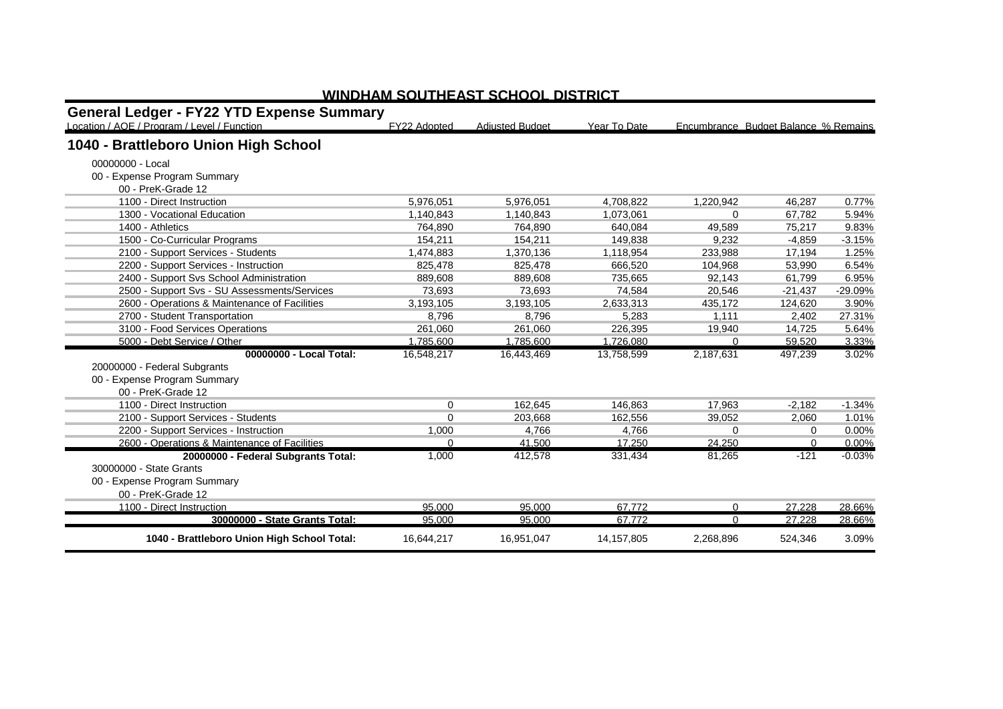| <b>General Ledger - FY22 YTD Expense Summary</b> |              |                        |              |           |                                      |           |
|--------------------------------------------------|--------------|------------------------|--------------|-----------|--------------------------------------|-----------|
| Location / AOE / Program / Level / Function      | FY22 Adopted | <b>Adiusted Budget</b> | Year To Date |           | Encumbrance Budget Balance % Remains |           |
| 1040 - Brattleboro Union High School             |              |                        |              |           |                                      |           |
| 00000000 - Local                                 |              |                        |              |           |                                      |           |
| 00 - Expense Program Summary                     |              |                        |              |           |                                      |           |
| 00 - PreK-Grade 12                               |              |                        |              |           |                                      |           |
| 1100 - Direct Instruction                        | 5.976.051    | 5.976.051              | 4.708.822    | 1.220.942 | 46.287                               | 0.77%     |
| 1300 - Vocational Education                      | 1,140,843    | 1,140,843              | 1.073.061    | $\Omega$  | 67,782                               | 5.94%     |
| 1400 - Athletics                                 | 764.890      | 764.890                | 640.084      | 49.589    | 75.217                               | 9.83%     |
| 1500 - Co-Curricular Programs                    | 154,211      | 154,211                | 149,838      | 9,232     | $-4,859$                             | $-3.15%$  |
| 2100 - Support Services - Students               | 1.474.883    | 1.370.136              | 1.118.954    | 233.988   | 17.194                               | 1.25%     |
| 2200 - Support Services - Instruction            | 825.478      | 825.478                | 666.520      | 104,968   | 53,990                               | 6.54%     |
| 2400 - Support Svs School Administration         | 889,608      | 889,608                | 735.665      | 92.143    | 61,799                               | 6.95%     |
| 2500 - Support Svs - SU Assessments/Services     | 73.693       | 73.693                 | 74.584       | 20.546    | $-21.437$                            | $-29.09%$ |
| 2600 - Operations & Maintenance of Facilities    | 3,193,105    | 3,193,105              | 2,633,313    | 435.172   | 124.620                              | 3.90%     |
| 2700 - Student Transportation                    | 8.796        | 8.796                  | 5.283        | 1.111     | 2.402                                | 27.31%    |
| 3100 - Food Services Operations                  | 261,060      | 261,060                | 226,395      | 19,940    | 14,725                               | 5.64%     |
| 5000 - Debt Service / Other                      | 1.785.600    | 1.785.600              | 1.726.080    | $\Omega$  | 59.520                               | 3.33%     |
| 00000000 - Local Total:                          | 16,548,217   | 16,443,469             | 13,758,599   | 2,187,631 | 497,239                              | 3.02%     |
| 20000000 - Federal Subgrants                     |              |                        |              |           |                                      |           |
| 00 - Expense Program Summary                     |              |                        |              |           |                                      |           |
| 00 - PreK-Grade 12                               |              |                        |              |           |                                      |           |
| 1100 - Direct Instruction                        | $\mathbf 0$  | 162.645                | 146.863      | 17,963    | $-2.182$                             | $-1.34%$  |
| 2100 - Support Services - Students               | $\Omega$     | 203.668                | 162.556      | 39,052    | 2,060                                | 1.01%     |
| 2200 - Support Services - Instruction            | 1,000        | 4,766                  | 4,766        | $\Omega$  | 0                                    | 0.00%     |
| 2600 - Operations & Maintenance of Facilities    | $\Omega$     | 41.500                 | 17.250       | 24.250    | $\Omega$                             | 0.00%     |
| 20000000 - Federal Subgrants Total:              | 1,000        | 412,578                | 331,434      | 81,265    | $-121$                               | $-0.03%$  |
| 30000000 - State Grants                          |              |                        |              |           |                                      |           |
| 00 - Expense Program Summary                     |              |                        |              |           |                                      |           |
| 00 - PreK-Grade 12                               |              |                        |              |           |                                      |           |
| 1100 - Direct Instruction                        | 95,000       | 95,000                 | 67,772       | $\Omega$  | 27,228                               | 28.66%    |
| 30000000 - State Grants Total:                   | 95.000       | 95,000                 | 67.772       | $\Omega$  | 27.228                               | 28.66%    |
| 1040 - Brattleboro Union High School Total:      | 16,644,217   | 16,951,047             | 14, 157, 805 | 2,268,896 | 524,346                              | 3.09%     |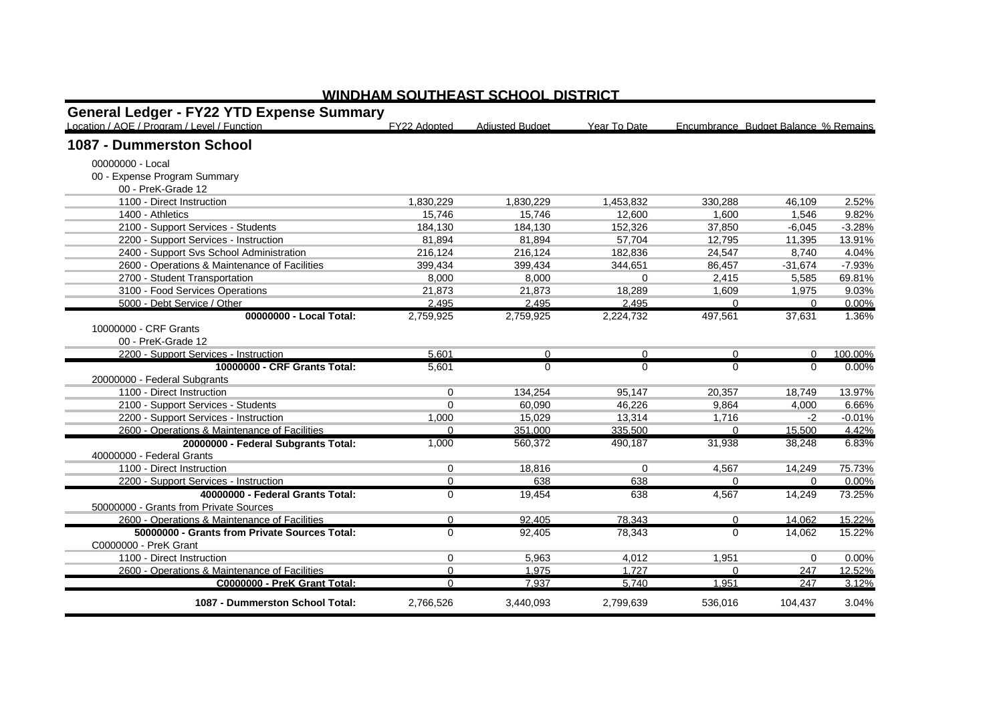| <b>General Ledger - FY22 YTD Expense Summary</b> |              |                        |              |          |                                      |          |
|--------------------------------------------------|--------------|------------------------|--------------|----------|--------------------------------------|----------|
| Location / AOE / Program / Level / Function      | FY22 Adopted | <b>Adiusted Budget</b> | Year To Date |          | Encumbrance Budget Balance % Remains |          |
| 1087 - Dummerston School                         |              |                        |              |          |                                      |          |
| 00000000 - Local                                 |              |                        |              |          |                                      |          |
| 00 - Expense Program Summary                     |              |                        |              |          |                                      |          |
| 00 - PreK-Grade 12                               |              |                        |              |          |                                      |          |
| 1100 - Direct Instruction                        | 1,830,229    | 1,830,229              | 1,453,832    | 330,288  | 46,109                               | 2.52%    |
| 1400 - Athletics                                 | 15.746       | 15.746                 | 12.600       | 1.600    | 1.546                                | 9.82%    |
| 2100 - Support Services - Students               | 184,130      | 184,130                | 152,326      | 37,850   | $-6,045$                             | $-3.28%$ |
| 2200 - Support Services - Instruction            | 81.894       | 81.894                 | 57.704       | 12.795   | 11.395                               | 13.91%   |
| 2400 - Support Svs School Administration         | 216,124      | 216,124                | 182,836      | 24,547   | 8,740                                | 4.04%    |
| 2600 - Operations & Maintenance of Facilities    | 399.434      | 399.434                | 344.651      | 86.457   | $-31.674$                            | $-7.93%$ |
| 2700 - Student Transportation                    | 8,000        | 8,000                  | $\Omega$     | 2,415    | 5,585                                | 69.81%   |
| 3100 - Food Services Operations                  | 21.873       | 21.873                 | 18.289       | 1.609    | 1,975                                | 9.03%    |
| 5000 - Debt Service / Other                      | 2.495        | 2.495                  | 2.495        |          | $\Omega$                             | 0.00%    |
| 00000000 - Local Total:                          | 2,759,925    | 2,759,925              | 2,224,732    | 497,561  | 37,631                               | 1.36%    |
| 10000000 - CRF Grants                            |              |                        |              |          |                                      |          |
| 00 - PreK-Grade 12                               |              |                        |              |          |                                      |          |
| 2200 - Support Services - Instruction            | 5,601        | $\mathbf{0}$           | $\Omega$     | $\Omega$ | $\Omega$                             | 100.00%  |
| 10000000 - CRF Grants Total:                     | 5,601        | $\Omega$               | $\Omega$     | $\Omega$ | $\Omega$                             | $0.00\%$ |
| 20000000 - Federal Subgrants                     |              |                        |              |          |                                      |          |
| 1100 - Direct Instruction                        | 0            | 134,254                | 95,147       | 20,357   | 18,749                               | 13.97%   |
| 2100 - Support Services - Students               | 0            | 60,090                 | 46,226       | 9,864    | 4,000                                | 6.66%    |
| 2200 - Support Services - Instruction            | 1,000        | 15.029                 | 13,314       | 1,716    | $-2$                                 | $-0.01%$ |
| 2600 - Operations & Maintenance of Facilities    | $\Omega$     | 351.000                | 335.500      | $\Omega$ | 15,500                               | 4.42%    |
| 20000000 - Federal Subgrants Total:              | 1,000        | 560,372                | 490,187      | 31,938   | 38,248                               | 6.83%    |
| 40000000 - Federal Grants                        |              |                        |              |          |                                      |          |
| 1100 - Direct Instruction                        | 0            | 18.816                 | $\Omega$     | 4.567    | 14.249                               | 75.73%   |
| 2200 - Support Services - Instruction            | $\Omega$     | 638                    | 638          | $\Omega$ | $\Omega$                             | 0.00%    |
| 40000000 - Federal Grants Total:                 | 0            | 19,454                 | 638          | 4,567    | 14,249                               | 73.25%   |
| 50000000 - Grants from Private Sources           |              |                        |              |          |                                      |          |
| 2600 - Operations & Maintenance of Facilities    | $\Omega$     | 92.405                 | 78,343       | $\Omega$ | 14,062                               | 15.22%   |
| 50000000 - Grants from Private Sources Total:    | $\Omega$     | 92.405                 | 78,343       | $\Omega$ | 14.062                               | 15.22%   |
| C0000000 - PreK Grant                            |              |                        |              |          |                                      |          |
| 1100 - Direct Instruction                        | 0            | 5,963                  | 4,012        | 1,951    | $\mathbf 0$                          | 0.00%    |
| 2600 - Operations & Maintenance of Facilities    | $\Omega$     | 1.975                  | 1.727        | $\Omega$ | 247                                  | 12.52%   |
| C0000000 - PreK Grant Total:                     | $\Omega$     | 7,937                  | 5,740        | 1,951    | 247                                  | 3.12%    |
| 1087 - Dummerston School Total:                  | 2,766,526    | 3,440,093              | 2,799,639    | 536,016  | 104,437                              | 3.04%    |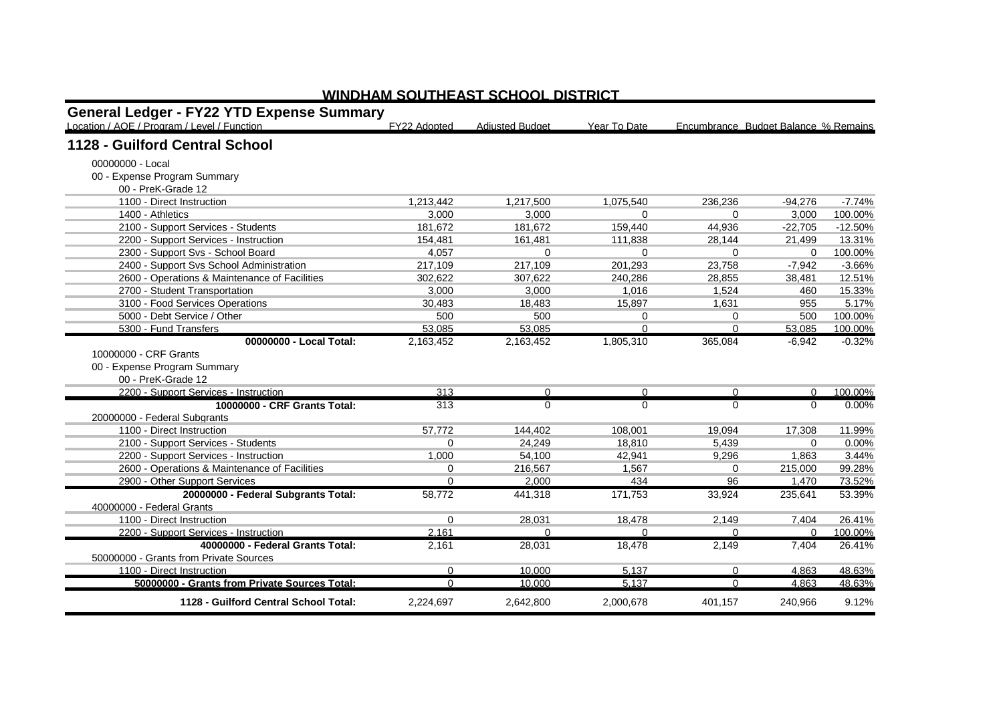| <b>General Ledger - FY22 YTD Expense Summary</b> |              |                        |              |          |                                      |           |
|--------------------------------------------------|--------------|------------------------|--------------|----------|--------------------------------------|-----------|
| Location / AOE / Program / Level / Function      | FY22 Adopted | <b>Adjusted Budget</b> | Year To Date |          | Encumbrance Budget Balance % Remains |           |
| 1128 - Guilford Central School                   |              |                        |              |          |                                      |           |
| 00000000 - Local                                 |              |                        |              |          |                                      |           |
| 00 - Expense Program Summary                     |              |                        |              |          |                                      |           |
| 00 - PreK-Grade 12                               |              |                        |              |          |                                      |           |
| 1100 - Direct Instruction                        | 1,213,442    | 1,217,500              | 1,075,540    | 236.236  | $-94.276$                            | $-7.74%$  |
| 1400 - Athletics                                 | 3,000        | 3,000                  | 0            | 0        | 3,000                                | 100.00%   |
| 2100 - Support Services - Students               | 181,672      | 181,672                | 159,440      | 44.936   | $-22.705$                            | $-12.50%$ |
| 2200 - Support Services - Instruction            | 154.481      | 161.481                | 111.838      | 28.144   | 21.499                               | 13.31%    |
| 2300 - Support Svs - School Board                | 4,057        | $\Omega$               | $\Omega$     | $\Omega$ | $\Omega$                             | 100.00%   |
| 2400 - Support Svs School Administration         | 217,109      | 217.109                | 201,293      | 23.758   | $-7.942$                             | $-3.66%$  |
| 2600 - Operations & Maintenance of Facilities    | 302.622      | 307,622                | 240,286      | 28.855   | 38,481                               | 12.51%    |
| 2700 - Student Transportation                    | 3.000        | 3.000                  | 1.016        | 1.524    | 460                                  | 15.33%    |
| 3100 - Food Services Operations                  | 30,483       | 18,483                 | 15,897       | 1,631    | 955                                  | 5.17%     |
| 5000 - Debt Service / Other                      | 500          | 500                    | 0            | 0        | 500                                  | 100.00%   |
| 5300 - Fund Transfers                            | 53,085       | 53,085                 | $\Omega$     | $\Omega$ | 53,085                               | 100.00%   |
| 00000000 - Local Total:                          | 2,163,452    | 2,163,452              | 1,805,310    | 365.084  | $-6.942$                             | $-0.32%$  |
| 10000000 - CRF Grants                            |              |                        |              |          |                                      |           |
| 00 - Expense Program Summary                     |              |                        |              |          |                                      |           |
| 00 - PreK-Grade 12                               |              |                        |              |          |                                      |           |
| 2200 - Support Services - Instruction            | 313          | $\mathbf{0}$           | $\Omega$     | $\Omega$ | $\Omega$                             | 100.00%   |
| 10000000 - CRF Grants Total:                     | 313          | $\mathbf{0}$           | $\Omega$     | $\Omega$ | $\Omega$                             | 0.00%     |
| 20000000 - Federal Subgrants                     |              |                        |              |          |                                      |           |
| 1100 - Direct Instruction                        | 57,772       | 144.402                | 108.001      | 19,094   | 17,308                               | 11.99%    |
| 2100 - Support Services - Students               | $\Omega$     | 24.249                 | 18,810       | 5,439    | $\Omega$                             | 0.00%     |
| 2200 - Support Services - Instruction            | 1,000        | 54.100                 | 42.941       | 9.296    | 1,863                                | 3.44%     |
| 2600 - Operations & Maintenance of Facilities    | 0            | 216.567                | 1.567        | $\Omega$ | 215.000                              | 99.28%    |
| 2900 - Other Support Services                    | $\Omega$     | 2.000                  | 434          | 96       | 1.470                                | 73.52%    |
| 20000000 - Federal Subgrants Total:              | 58,772       | 441.318                | 171,753      | 33,924   | 235,641                              | 53.39%    |
| 40000000 - Federal Grants                        |              |                        |              |          |                                      |           |
| 1100 - Direct Instruction                        | 0            | 28,031                 | 18.478       | 2.149    | 7.404                                | 26.41%    |
| 2200 - Support Services - Instruction            | 2,161        | $\Omega$               | $\Omega$     | $\Omega$ | $\Omega$                             | 100.00%   |
| 40000000 - Federal Grants Total:                 | 2,161        | 28,031                 | 18,478       | 2,149    | 7.404                                | 26.41%    |
| 50000000 - Grants from Private Sources           |              |                        |              |          |                                      |           |
| 1100 - Direct Instruction                        | $\Omega$     | 10,000                 | 5.137        | $\Omega$ | 4,863                                | 48.63%    |
| 50000000 - Grants from Private Sources Total:    | $\Omega$     | 10.000                 | 5.137        | $\Omega$ | 4.863                                | 48.63%    |
| 1128 - Guilford Central School Total:            | 2,224,697    | 2,642,800              | 2,000,678    | 401,157  | 240,966                              | 9.12%     |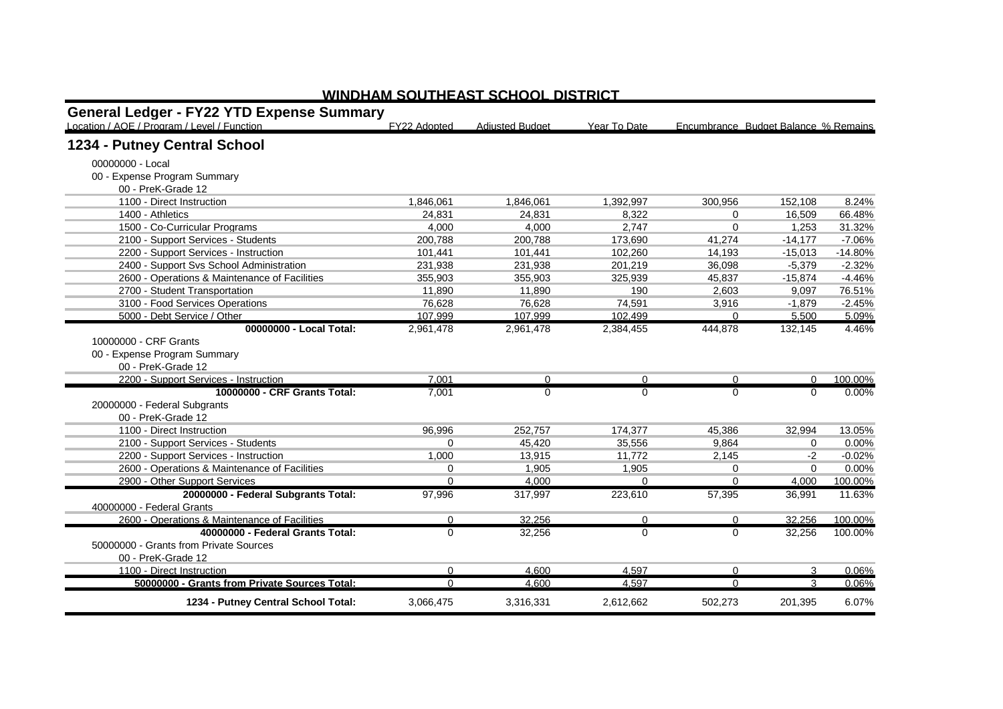| <b>General Ledger - FY22 YTD Expense Summary</b><br>Location / AOE / Program / Level / Function | FY22 Adopted | <b>Adjusted Budget</b> | Year To Date | Encumbrance Budget Balance % Remains |           |           |
|-------------------------------------------------------------------------------------------------|--------------|------------------------|--------------|--------------------------------------|-----------|-----------|
| 1234 - Putney Central School                                                                    |              |                        |              |                                      |           |           |
| 00000000 - Local                                                                                |              |                        |              |                                      |           |           |
| 00 - Expense Program Summary                                                                    |              |                        |              |                                      |           |           |
| 00 - PreK-Grade 12                                                                              |              |                        |              |                                      |           |           |
| 1100 - Direct Instruction                                                                       | 1,846,061    | 1,846,061              | 1.392.997    | 300.956                              | 152.108   | 8.24%     |
| 1400 - Athletics                                                                                | 24.831       | 24.831                 | 8,322        | 0                                    | 16,509    | 66.48%    |
| 1500 - Co-Curricular Programs                                                                   | 4.000        | 4.000                  | 2,747        | $\Omega$                             | 1,253     | 31.32%    |
| 2100 - Support Services - Students                                                              | 200,788      | 200,788                | 173,690      | 41,274                               | $-14,177$ | $-7.06%$  |
| 2200 - Support Services - Instruction                                                           | 101,441      | 101,441                | 102,260      | 14,193                               | $-15,013$ | $-14.80%$ |
| 2400 - Support Svs School Administration                                                        | 231,938      | 231,938                | 201,219      | 36,098                               | $-5,379$  | $-2.32%$  |
| 2600 - Operations & Maintenance of Facilities                                                   | 355,903      | 355,903                | 325.939      | 45,837                               | $-15,874$ | $-4.46%$  |
| 2700 - Student Transportation                                                                   | 11.890       | 11.890                 | 190          | 2,603                                | 9.097     | 76.51%    |
| 3100 - Food Services Operations                                                                 | 76,628       | 76,628                 | 74,591       | 3,916                                | $-1,879$  | $-2.45%$  |
| 5000 - Debt Service / Other                                                                     | 107.999      | 107.999                | 102.499      | $\Omega$                             | 5.500     | 5.09%     |
| 00000000 - Local Total:                                                                         | 2,961,478    | 2,961,478              | 2,384,455    | 444,878                              | 132,145   | 4.46%     |
| 10000000 - CRF Grants                                                                           |              |                        |              |                                      |           |           |
| 00 - Expense Program Summary                                                                    |              |                        |              |                                      |           |           |
| 00 - PreK-Grade 12                                                                              |              |                        |              |                                      |           |           |
| 2200 - Support Services - Instruction                                                           | 7.001        | 0                      | $\mathbf 0$  | 0                                    | $\Omega$  | 100.00%   |
| 10000000 - CRF Grants Total:                                                                    | 7,001        | $\Omega$               | $\Omega$     | $\Omega$                             | $\Omega$  | 0.00%     |
| 20000000 - Federal Subgrants                                                                    |              |                        |              |                                      |           |           |
| 00 - PreK-Grade 12                                                                              |              |                        |              |                                      |           |           |
| 1100 - Direct Instruction                                                                       | 96,996       | 252,757                | 174,377      | 45,386                               | 32,994    | 13.05%    |
| 2100 - Support Services - Students                                                              | $\Omega$     | 45.420                 | 35,556       | 9.864                                | $\Omega$  | 0.00%     |
| 2200 - Support Services - Instruction                                                           | 1,000        | 13,915                 | 11,772       | 2,145                                | $-2$      | $-0.02%$  |
| 2600 - Operations & Maintenance of Facilities                                                   | $\Omega$     | 1.905                  | 1,905        | 0                                    | $\Omega$  | 0.00%     |
| 2900 - Other Support Services                                                                   | $\Omega$     | 4.000                  | $\Omega$     | $\Omega$                             | 4,000     | 100.00%   |
| 20000000 - Federal Subgrants Total:                                                             | 97,996       | 317,997                | 223,610      | 57,395                               | 36,991    | 11.63%    |
| 40000000 - Federal Grants                                                                       |              |                        |              |                                      |           |           |
| 2600 - Operations & Maintenance of Facilities                                                   | 0            | 32.256                 | 0            | $\Omega$                             | 32.256    | 100.00%   |
| 40000000 - Federal Grants Total:                                                                | $\Omega$     | 32,256                 | $\Omega$     | 0                                    | 32,256    | 100.00%   |
| 50000000 - Grants from Private Sources                                                          |              |                        |              |                                      |           |           |
| 00 - PreK-Grade 12                                                                              |              |                        |              |                                      |           |           |
| 1100 - Direct Instruction                                                                       | $\Omega$     | 4,600                  | 4,597        | $\Omega$                             | 3         | 0.06%     |
| 50000000 - Grants from Private Sources Total:                                                   | $\Omega$     | 4.600                  | 4.597        | $\Omega$                             | 3         | 0.06%     |
| 1234 - Putney Central School Total:                                                             | 3,066,475    | 3,316,331              | 2,612,662    | 502,273                              | 201,395   | 6.07%     |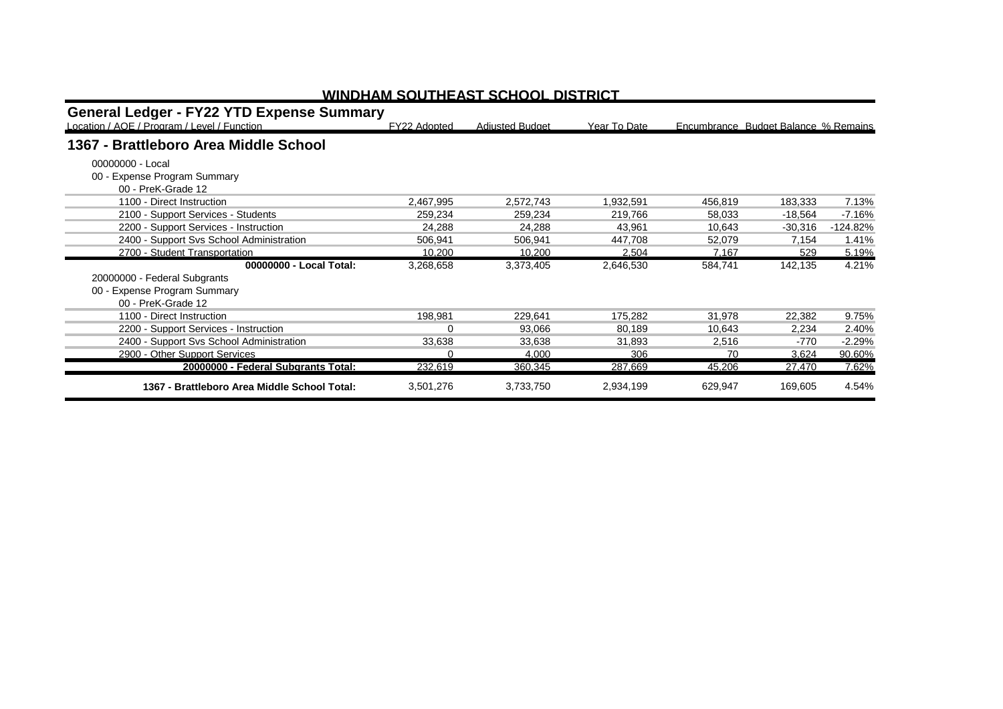| <b>General Ledger - FY22 YTD Expense Summary</b> |              |                        |              |         |                                      |            |
|--------------------------------------------------|--------------|------------------------|--------------|---------|--------------------------------------|------------|
| Location / AOE / Program / Level / Function      | FY22 Adopted | <b>Adjusted Budget</b> | Year To Date |         | Encumbrance Budget Balance % Remains |            |
| 1367 - Brattleboro Area Middle School            |              |                        |              |         |                                      |            |
| 00000000 - Local                                 |              |                        |              |         |                                      |            |
| 00 - Expense Program Summary                     |              |                        |              |         |                                      |            |
| 00 - PreK-Grade 12                               |              |                        |              |         |                                      |            |
| 1100 - Direct Instruction                        | 2,467,995    | 2,572,743              | 1,932,591    | 456,819 | 183,333                              | 7.13%      |
| 2100 - Support Services - Students               | 259,234      | 259,234                | 219,766      | 58,033  | -18,564                              | $-7.16%$   |
| 2200 - Support Services - Instruction            | 24,288       | 24,288                 | 43.961       | 10,643  | $-30,316$                            | $-124.82%$ |
| 2400 - Support Svs School Administration         | 506.941      | 506.941                | 447.708      | 52.079  | 7.154                                | 1.41%      |
| 2700 - Student Transportation                    | 10.200       | 10.200                 | 2.504        | 7.167   | 529                                  | 5.19%      |
| 00000000 - Local Total:                          | 3,268,658    | 3,373,405              | 2,646,530    | 584,741 | 142,135                              | 4.21%      |
| 20000000 - Federal Subgrants                     |              |                        |              |         |                                      |            |
| 00 - Expense Program Summary                     |              |                        |              |         |                                      |            |
| 00 - PreK-Grade 12                               |              |                        |              |         |                                      |            |
| 1100 - Direct Instruction                        | 198,981      | 229,641                | 175,282      | 31,978  | 22,382                               | 9.75%      |
| 2200 - Support Services - Instruction            | 0            | 93,066                 | 80,189       | 10,643  | 2,234                                | 2.40%      |
| 2400 - Support Svs School Administration         | 33,638       | 33.638                 | 31.893       | 2,516   | -770                                 | $-2.29%$   |
| 2900 - Other Support Services                    | $\Omega$     | 4.000                  | 306          | 70      | 3,624                                | 90.60%     |
| 20000000 - Federal Subgrants Total:              | 232,619      | 360,345                | 287,669      | 45,206  | 27,470                               | 7.62%      |
| 1367 - Brattleboro Area Middle School Total:     | 3,501,276    | 3,733,750              | 2,934,199    | 629,947 | 169,605                              | 4.54%      |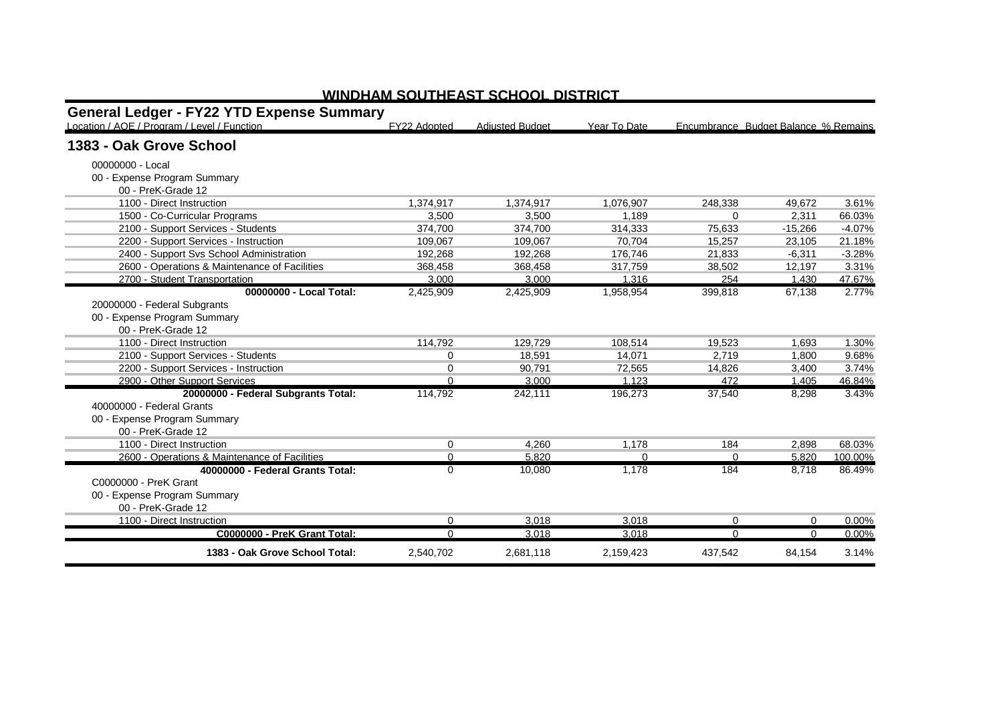| <b>General Ledger - FY22 YTD Expense Summary</b><br>Location / AOE / Program / Level / Function | FY22 Adopted | <b>Adiusted Budget</b> | Year To Date |          | Encumbrance Budget Balance % Remains |          |
|-------------------------------------------------------------------------------------------------|--------------|------------------------|--------------|----------|--------------------------------------|----------|
| 1383 - Oak Grove School                                                                         |              |                        |              |          |                                      |          |
| 00000000 - Local                                                                                |              |                        |              |          |                                      |          |
| 00 - Expense Program Summary                                                                    |              |                        |              |          |                                      |          |
| 00 - PreK-Grade 12                                                                              |              |                        |              |          |                                      |          |
| 1100 - Direct Instruction                                                                       | 1.374.917    | 1.374.917              | 1.076.907    | 248.338  | 49.672                               | 3.61%    |
| 1500 - Co-Curricular Programs                                                                   | 3,500        | 3,500                  | 1.189        | 0        | 2,311                                | 66.03%   |
| 2100 - Support Services - Students                                                              | 374.700      | 374.700                | 314,333      | 75.633   | $-15,266$                            | $-4.07%$ |
| 2200 - Support Services - Instruction                                                           | 109.067      | 109.067                | 70.704       | 15.257   | 23.105                               | 21.18%   |
| 2400 - Support Svs School Administration                                                        | 192.268      | 192.268                | 176.746      | 21,833   | $-6.311$                             | $-3.28%$ |
| 2600 - Operations & Maintenance of Facilities                                                   | 368,458      | 368,458                | 317,759      | 38,502   | 12,197                               | 3.31%    |
| 2700 - Student Transportation                                                                   | 3.000        | 3.000                  | 1.316        | 254      | 1.430                                | 47.67%   |
| 00000000 - Local Total:                                                                         | 2,425,909    | 2,425,909              | 1,958,954    | 399,818  | 67,138                               | 2.77%    |
| 20000000 - Federal Subgrants                                                                    |              |                        |              |          |                                      |          |
| 00 - Expense Program Summary                                                                    |              |                        |              |          |                                      |          |
| 00 - PreK-Grade 12                                                                              |              |                        |              |          |                                      |          |
| 1100 - Direct Instruction                                                                       | 114.792      | 129.729                | 108,514      | 19.523   | 1.693                                | 1.30%    |
| 2100 - Support Services - Students                                                              | $\Omega$     | 18.591                 | 14.071       | 2.719    | 1,800                                | 9.68%    |
| 2200 - Support Services - Instruction                                                           | 0            | 90,791                 | 72,565       | 14,826   | 3,400                                | 3.74%    |
| 2900 - Other Support Services                                                                   | $\Omega$     | 3.000                  | 1.123        | 472      | 1.405                                | 46.84%   |
| 20000000 - Federal Subgrants Total:                                                             | 114,792      | 242,111                | 196,273      | 37,540   | 8,298                                | 3.43%    |
| 40000000 - Federal Grants                                                                       |              |                        |              |          |                                      |          |
| 00 - Expense Program Summary                                                                    |              |                        |              |          |                                      |          |
| 00 - PreK-Grade 12                                                                              |              |                        |              |          |                                      |          |
| 1100 - Direct Instruction                                                                       | $\Omega$     | 4,260                  | 1.178        | 184      | 2,898                                | 68.03%   |
| 2600 - Operations & Maintenance of Facilities                                                   | $\Omega$     | 5.820                  | $\Omega$     | $\Omega$ | 5.820                                | 100.00%  |
| 40000000 - Federal Grants Total:                                                                | $\Omega$     | 10,080                 | 1,178        | 184      | 8.718                                | 86.49%   |
| C0000000 - PreK Grant                                                                           |              |                        |              |          |                                      |          |
| 00 - Expense Program Summary                                                                    |              |                        |              |          |                                      |          |
| 00 - PreK-Grade 12                                                                              |              |                        |              |          |                                      |          |
| 1100 - Direct Instruction                                                                       | $\Omega$     | 3.018                  | 3,018        | 0        | $\Omega$                             | 0.00%    |
| C0000000 - PreK Grant Total:                                                                    | <sup>0</sup> | 3.018                  | 3.018        | $\Omega$ | n                                    | 0.00%    |
| 1383 - Oak Grove School Total:                                                                  | 2,540,702    | 2,681,118              | 2,159,423    | 437,542  | 84,154                               | 3.14%    |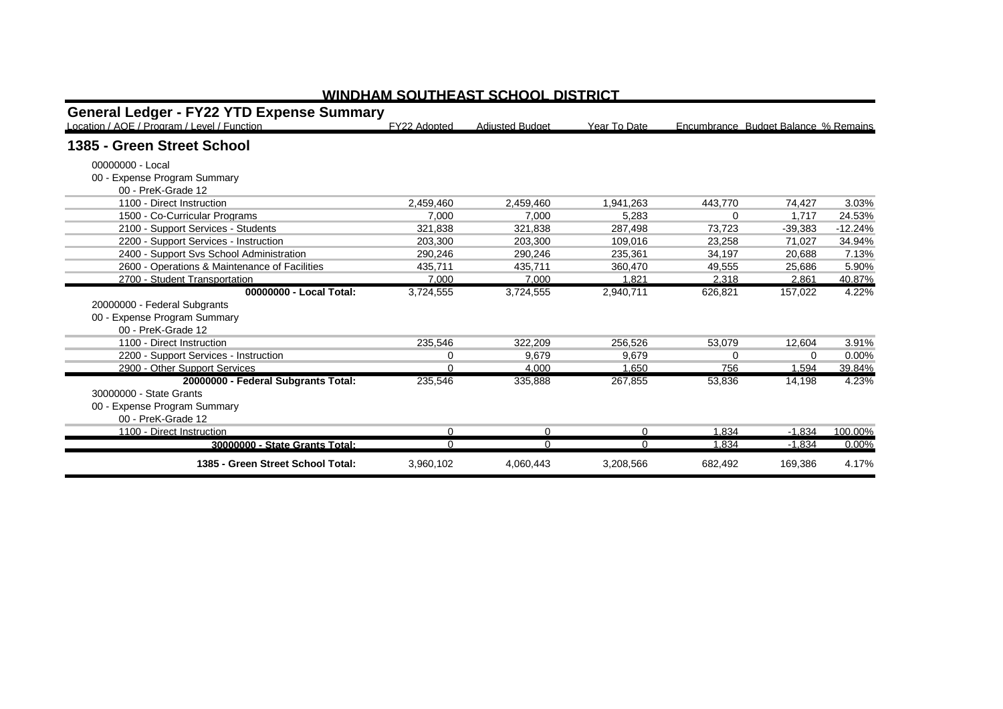| <b>General Ledger - FY22 YTD Expense Summary</b> |              |                        |              |          |                                      |           |
|--------------------------------------------------|--------------|------------------------|--------------|----------|--------------------------------------|-----------|
| Location / AOE / Program / Level / Function      | FY22 Adopted | <b>Adiusted Budget</b> | Year To Date |          | Encumbrance Budget Balance % Remains |           |
| 1385 - Green Street School                       |              |                        |              |          |                                      |           |
| 00000000 - Local                                 |              |                        |              |          |                                      |           |
| 00 - Expense Program Summary                     |              |                        |              |          |                                      |           |
| 00 - PreK-Grade 12                               |              |                        |              |          |                                      |           |
| 1100 - Direct Instruction                        | 2.459.460    | 2.459.460              | 1.941.263    | 443.770  | 74,427                               | 3.03%     |
| 1500 - Co-Curricular Programs                    | 7.000        | 7.000                  | 5.283        | 0        | 1.717                                | 24.53%    |
| 2100 - Support Services - Students               | 321.838      | 321.838                | 287.498      | 73.723   | $-39.383$                            | $-12.24%$ |
| 2200 - Support Services - Instruction            | 203,300      | 203,300                | 109.016      | 23,258   | 71,027                               | 34.94%    |
| 2400 - Support Sys School Administration         | 290.246      | 290.246                | 235.361      | 34.197   | 20.688                               | 7.13%     |
| 2600 - Operations & Maintenance of Facilities    | 435.711      | 435,711                | 360.470      | 49,555   | 25,686                               | 5.90%     |
| 2700 - Student Transportation                    | 7.000        | 7.000                  | 1.821        | 2.318    | 2.861                                | 40.87%    |
| 00000000 - Local Total:                          | 3,724,555    | 3,724,555              | 2,940,711    | 626,821  | 157,022                              | 4.22%     |
| 20000000 - Federal Subgrants                     |              |                        |              |          |                                      |           |
| 00 - Expense Program Summary                     |              |                        |              |          |                                      |           |
| 00 - PreK-Grade 12                               |              |                        |              |          |                                      |           |
| 1100 - Direct Instruction                        | 235,546      | 322,209                | 256,526      | 53,079   | 12,604                               | 3.91%     |
| 2200 - Support Services - Instruction            | $\Omega$     | 9,679                  | 9.679        | $\Omega$ | $\Omega$                             | 0.00%     |
| 2900 - Other Support Services                    | 0            | 4.000                  | 1.650        | 756      | 1.594                                | 39.84%    |
| 20000000 - Federal Subgrants Total:              | 235,546      | 335,888                | 267,855      | 53,836   | 14.198                               | 4.23%     |
| 30000000 - State Grants                          |              |                        |              |          |                                      |           |
| 00 - Expense Program Summary                     |              |                        |              |          |                                      |           |
| 00 - PreK-Grade 12                               |              |                        |              |          |                                      |           |
| 1100 - Direct Instruction                        | $\Omega$     | $\Omega$               | $\Omega$     | 1.834    | $-1.834$                             | 100.00%   |
| 30000000 - State Grants Total:                   | $\Omega$     | $\Omega$               | 0            | 1,834    | $-1,834$                             | 0.00%     |
| 1385 - Green Street School Total:                | 3,960,102    | 4,060,443              | 3,208,566    | 682,492  | 169,386                              | 4.17%     |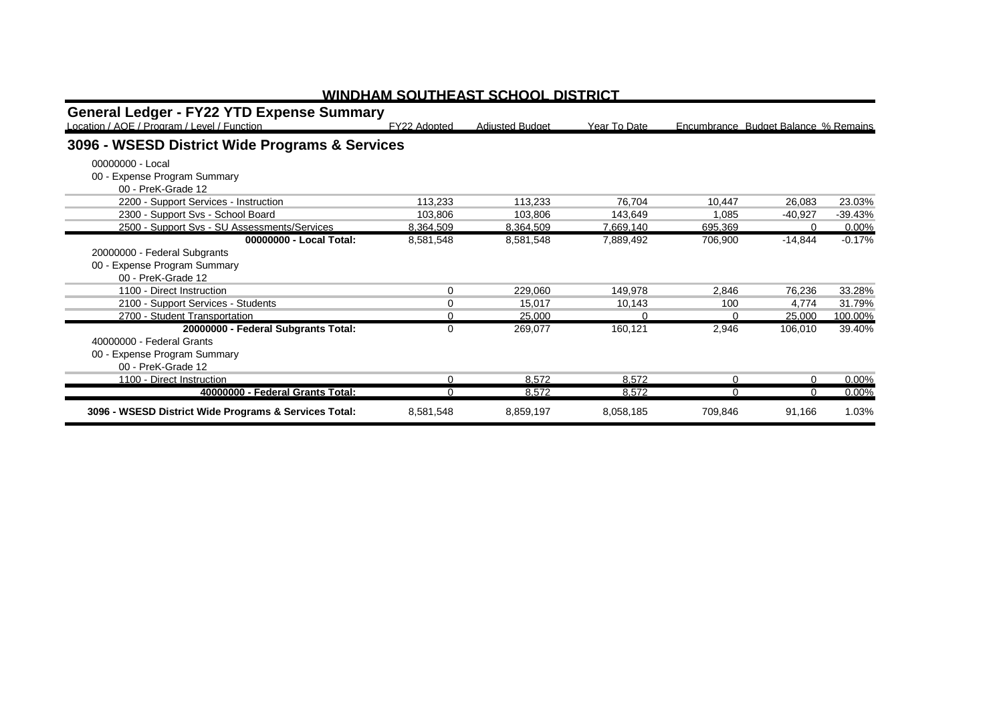| <b>General Ledger - FY22 YTD Expense Summary</b><br>Location / AOE / Program / Level / Function | FY22 Adopted | <b>Adjusted Budget</b> | Year To Date |          | Encumbrance Budget Balance % Remains |           |
|-------------------------------------------------------------------------------------------------|--------------|------------------------|--------------|----------|--------------------------------------|-----------|
| 3096 - WSESD District Wide Programs & Services                                                  |              |                        |              |          |                                      |           |
| 00000000 - Local<br>00 - Expense Program Summary<br>00 - PreK-Grade 12                          |              |                        |              |          |                                      |           |
| 2200 - Support Services - Instruction                                                           | 113,233      | 113,233                | 76,704       | 10,447   | 26,083                               | 23.03%    |
| 2300 - Support Svs - School Board                                                               | 103,806      | 103,806                | 143.649      | 1,085    | $-40.927$                            | $-39.43%$ |
| 2500 - Support Svs - SU Assessments/Services                                                    | 8,364,509    | 8,364,509              | 7,669,140    | 695,369  | 0                                    | 0.00%     |
| 00000000 - Local Total:                                                                         | 8,581,548    | 8,581,548              | 7,889,492    | 706,900  | $-14,844$                            | $-0.17%$  |
| 20000000 - Federal Subgrants                                                                    |              |                        |              |          |                                      |           |
| 00 - Expense Program Summary                                                                    |              |                        |              |          |                                      |           |
| 00 - PreK-Grade 12                                                                              |              |                        |              |          |                                      |           |
| 1100 - Direct Instruction                                                                       | $\Omega$     | 229,060                | 149.978      | 2,846    | 76,236                               | 33.28%    |
| 2100 - Support Services - Students                                                              | $\Omega$     | 15,017                 | 10,143       | 100      | 4,774                                | 31.79%    |
| 2700 - Student Transportation                                                                   | U            | 25.000                 | $\Omega$     | $\Omega$ | 25,000                               | 100.00%   |
| 20000000 - Federal Subgrants Total:                                                             | 0            | 269,077                | 160,121      | 2,946    | 106,010                              | 39.40%    |
| 40000000 - Federal Grants                                                                       |              |                        |              |          |                                      |           |
| 00 - Expense Program Summary                                                                    |              |                        |              |          |                                      |           |
| 00 - PreK-Grade 12                                                                              |              |                        |              |          |                                      |           |
| 1100 - Direct Instruction                                                                       | U            | 8.572                  | 8.572        | $\Omega$ |                                      | 0.00%     |
| 40000000 - Federal Grants Total:                                                                | $\Omega$     | 8.572                  | 8.572        | $\Omega$ |                                      | 0.00%     |
| 3096 - WSESD District Wide Programs & Services Total:                                           | 8,581,548    | 8,859,197              | 8,058,185    | 709,846  | 91,166                               | 1.03%     |